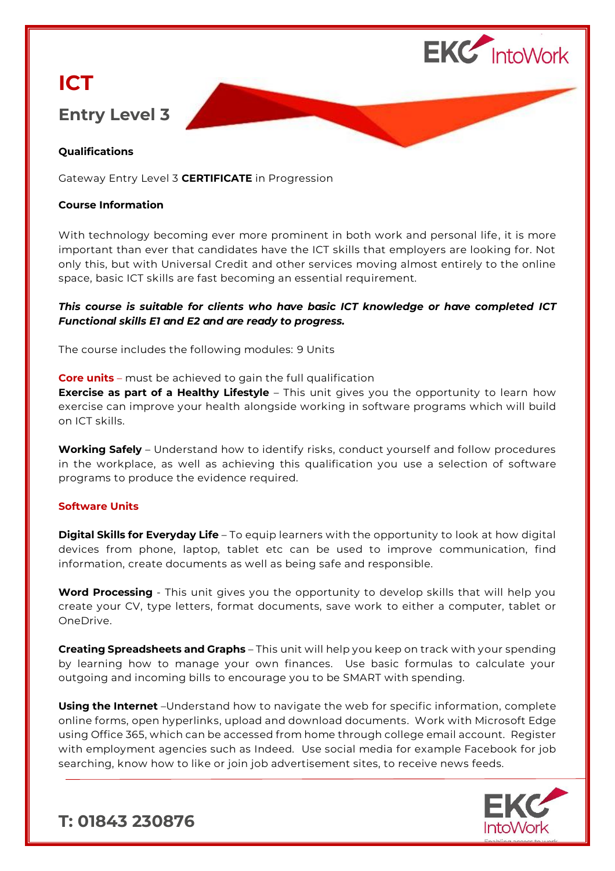

# **ICT Entry Level 3**

# **Qualifications**

Gateway Entry Level 3 **CERTIFICATE** in Progression

#### **Course Information**

With technology becoming ever more prominent in both work and personal life, it is more important than ever that candidates have the ICT skills that employers are looking for. Not only this, but with Universal Credit and other services moving almost entirely to the online space, basic ICT skills are fast becoming an essential requirement.

# *This course is suitable for clients who have basic ICT knowledge or have completed ICT Functional skills E1 and E2 and are ready to progress.*

The course includes the following modules: 9 Units

**Core units** – must be achieved to gain the full qualification

**Exercise as part of a Healthy Lifestyle** – This unit gives you the opportunity to learn how exercise can improve your health alongside working in software programs which will build on ICT skills.

**Working Safely** – Understand how to identify risks, conduct yourself and follow procedures in the workplace, as well as achieving this qualification you use a selection of software programs to produce the evidence required.

### **Software Units**

**Digital Skills for Everyday Life** – To equip learners with the opportunity to look at how digital devices from phone, laptop, tablet etc can be used to improve communication, find information, create documents as well as being safe and responsible.

**Word Processing** - This unit gives you the opportunity to develop skills that will help you create your CV, type letters, format documents, save work to either a computer, tablet or OneDrive.

**Creating Spreadsheets and Graphs** – This unit will help you keep on track with your spending by learning how to manage your own finances. Use basic formulas to calculate your outgoing and incoming bills to encourage you to be SMART with spending.

**Using the Internet** –Understand how to navigate the web for specific information, complete online forms, open hyperlinks, upload and download documents. Work with Microsoft Edge using Office 365, which can be accessed from home through college email account. Register with employment agencies such as Indeed. Use social media for example Facebook for job searching, know how to like or join job advertisement sites, to receive news feeds.



**T: 01843 230876**